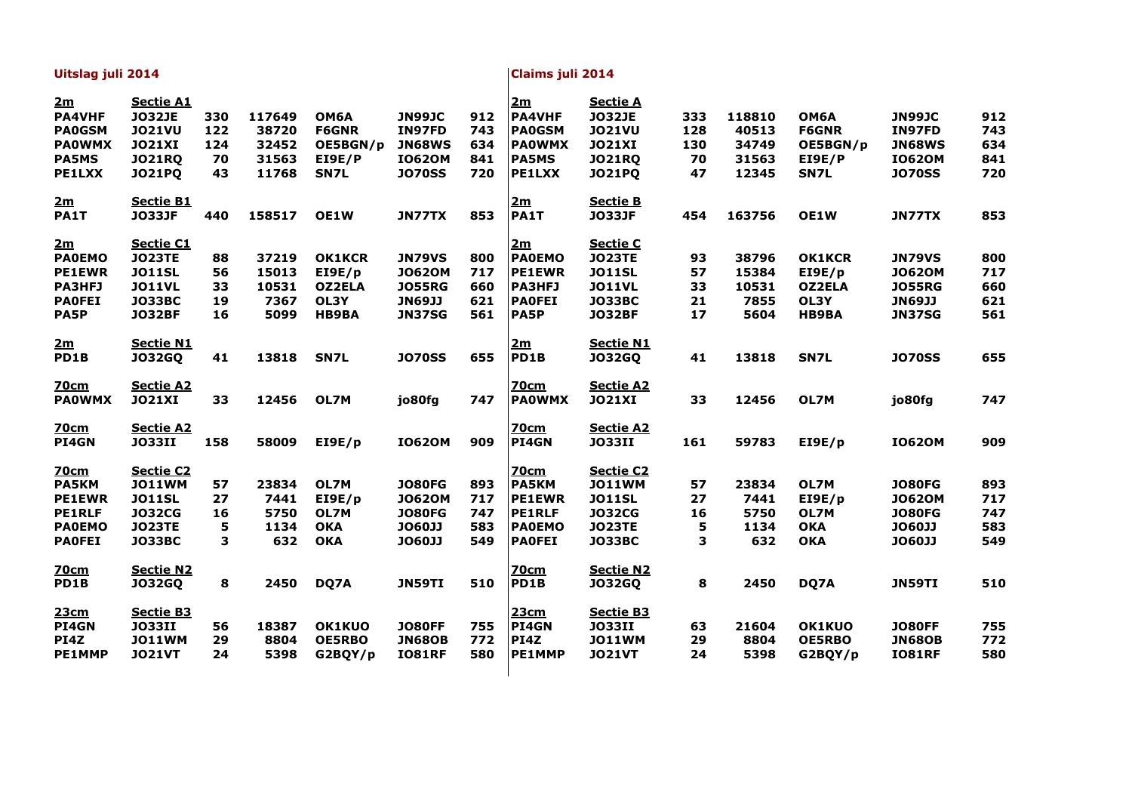| Uitslag juli 2014   |                                   |     |        |               | <b>Claims juli 2014</b> |     |                     |                                  |     |        |               |               |     |
|---------------------|-----------------------------------|-----|--------|---------------|-------------------------|-----|---------------------|----------------------------------|-----|--------|---------------|---------------|-----|
| 2m<br><b>PA4VHF</b> | <b>Sectie A1</b><br><b>JO32JE</b> | 330 | 117649 | <b>OM6A</b>   | <b>JN99JC</b>           | 912 | 2m<br><b>PA4VHF</b> | <b>Sectie A</b><br><b>JO32JE</b> | 333 | 118810 | <b>OM6A</b>   | <b>JN99JC</b> | 912 |
| <b>PA0GSM</b>       | <b>JO21VU</b>                     | 122 | 38720  | <b>F6GNR</b>  | IN97FD                  | 743 | <b>PA0GSM</b>       | <b>JO21VU</b>                    | 128 | 40513  | <b>F6GNR</b>  | IN97FD        | 743 |
| <b>PAOWMX</b>       | <b>JO21XI</b>                     | 124 | 32452  | OE5BGN/p      | <b>JN68WS</b>           | 634 | <b>PAOWMX</b>       | <b>JO21XI</b>                    | 130 | 34749  | OE5BGN/p      | <b>JN68WS</b> | 634 |
| <b>PA5MS</b>        | <b>JO21RQ</b>                     | 70  | 31563  | EI9E/P        | <b>IO620M</b>           | 841 | <b>PA5MS</b>        | <b>JO21RQ</b>                    | 70  | 31563  | EI9E/P        | <b>IO620M</b> | 841 |
| <b>PE1LXX</b>       | <b>JO21PQ</b>                     | 43  | 11768  | <b>SN7L</b>   | <b>JO70SS</b>           | 720 | <b>PE1LXX</b>       | <b>JO21PQ</b>                    | 47  | 12345  | <b>SN7L</b>   | <b>JO70SS</b> | 720 |
| 2m                  | <b>Sectie B1</b>                  |     |        |               |                         |     | 2m                  | <b>Sectie B</b>                  |     |        |               |               |     |
| PA1T                | <b>JO33JF</b>                     | 440 | 158517 | <b>OE1W</b>   | <b>JN77TX</b>           | 853 | PA1T                | <b>JO33JF</b>                    | 454 | 163756 | <b>OE1W</b>   | JN77TX        | 853 |
| 2m                  | <b>Sectie C1</b>                  |     |        |               |                         |     | 2m                  | <u>Sectie C</u>                  |     |        |               |               |     |
| <b>PAOEMO</b>       | <b>JO23TE</b>                     | 88  | 37219  | <b>OK1KCR</b> | <b>JN79VS</b>           | 800 | <b>PAOEMO</b>       | <b>JO23TE</b>                    | 93  | 38796  | <b>OK1KCR</b> | <b>JN79VS</b> | 800 |
| <b>PE1EWR</b>       | <b>JO11SL</b>                     | 56  | 15013  | EIOE/p        | <b>JO620M</b>           | 717 | <b>PE1EWR</b>       | <b>JO11SL</b>                    | 57  | 15384  | EIOE/p        | <b>JO620M</b> | 717 |
| <b>PA3HFJ</b>       | <b>JO11VL</b>                     | 33  | 10531  | <b>OZ2ELA</b> | <b>JO55RG</b>           | 660 | <b>PA3HFJ</b>       | <b>JO11VL</b>                    | 33  | 10531  | <b>OZ2ELA</b> | <b>JO55RG</b> | 660 |
| <b>PAOFEI</b>       | <b>JO33BC</b>                     | 19  | 7367   | OL3Y          | <b>JN69JJ</b>           | 621 | <b>PAOFEI</b>       | <b>JO33BC</b>                    | 21  | 7855   | <b>OL3Y</b>   | <b>JN69JJ</b> | 621 |
| PA5P                | <b>JO32BF</b>                     | 16  | 5099   | <b>HB9BA</b>  | <b>JN37SG</b>           | 561 | <b>PA5P</b>         | <b>JO32BF</b>                    | 17  | 5604   | <b>HB9BA</b>  | <b>JN37SG</b> | 561 |
| 2m                  | <b>Sectie N1</b>                  |     |        |               |                         |     | 2m                  | <b>Sectie N1</b>                 |     |        |               |               |     |
| PD1B                | <b>JO32GQ</b>                     | 41  | 13818  | SN7L          | <b>JO70SS</b>           | 655 | PD1B                | <b>JO32GQ</b>                    | 41  | 13818  | SN7L          | <b>JO70SS</b> | 655 |
| <b>70cm</b>         | <b>Sectie A2</b>                  |     |        |               |                         |     | 70cm                | <b>Sectie A2</b>                 |     |        |               |               |     |
| <b>PAOWMX</b>       | <b>JO21XI</b>                     | 33  | 12456  | OL7M          | jo80fg                  | 747 | <b>PAOWMX</b>       | <b>JO21XI</b>                    | 33  | 12456  | OL7M          | jo80fg        | 747 |
| <b>70cm</b>         | <b>Sectie A2</b>                  |     |        |               |                         |     | <b>70cm</b>         | <b>Sectie A2</b>                 |     |        |               |               |     |
| <b>PI4GN</b>        | <b>JO33II</b>                     | 158 | 58009  | EIOE/p        | <b>IO620M</b>           | 909 | PI4GN               | <b>JO33II</b>                    | 161 | 59783  | EIOE/p        | <b>IO620M</b> | 909 |
| <b>70cm</b>         | <b>Sectie C2</b>                  |     |        |               |                         |     | <u>70cm</u>         | <b>Sectie C2</b>                 |     |        |               |               |     |
| <b>PA5KM</b>        | <b>JO11WM</b>                     | 57  | 23834  | OL7M          | <b>JO80FG</b>           | 893 | <b>PA5KM</b>        | <b>JO11WM</b>                    | 57  | 23834  | OL7M          | <b>JO80FG</b> | 893 |
| <b>PE1EWR</b>       | <b>JO11SL</b>                     | 27  | 7441   | E I 9E/p      | <b>JO620M</b>           | 717 | <b>PE1EWR</b>       | <b>JO11SL</b>                    | 27  | 7441   | EIOE/p        | <b>JO620M</b> | 717 |
| <b>PE1RLF</b>       | <b>JO32CG</b>                     | 16  | 5750   | OL7M          | <b>JO80FG</b>           | 747 | <b>PE1RLF</b>       | <b>JO32CG</b>                    | 16  | 5750   | OL7M          | <b>JO80FG</b> | 747 |
| <b>PAOEMO</b>       | <b>JO23TE</b>                     | 5   | 1134   | <b>OKA</b>    | <b>JO60JJ</b>           | 583 | <b>PAOEMO</b>       | <b>JO23TE</b>                    | 5   | 1134   | <b>OKA</b>    | <b>JO60JJ</b> | 583 |
| <b>PAOFEI</b>       | <b>JO33BC</b>                     | 3   | 632    | <b>OKA</b>    | <b>JO60JJ</b>           | 549 | <b>PAOFEI</b>       | <b>JO33BC</b>                    | 3   | 632    | <b>OKA</b>    | <b>JO60JJ</b> | 549 |
| <u>70cm</u>         | <b>Sectie N2</b>                  |     |        |               |                         |     | <b>70cm</b>         | <b>Sectie N2</b>                 |     |        |               |               |     |
| PD1B                | <b>JO32GQ</b>                     | 8   | 2450   | DQ7A          | JN59TI                  | 510 | PD1B                | <b>JO32GQ</b>                    | 8   | 2450   | DQ7A          | JN59TI        | 510 |
| 23cm                | <b>Sectie B3</b>                  |     |        |               |                         |     | 23cm                | <b>Sectie B3</b>                 |     |        |               |               |     |
| <b>PI4GN</b>        | <b>JO33II</b>                     | 56  | 18387  | <b>OK1KUO</b> | <b>JO80FF</b>           | 755 | <b>PI4GN</b>        | <b>JO33II</b>                    | 63  | 21604  | <b>OK1KUO</b> | <b>JO80FF</b> | 755 |
| PI4Z                | <b>JO11WM</b>                     | 29  | 8804   | <b>OE5RBO</b> | <b>JN68OB</b>           | 772 | PI4Z                | <b>JO11WM</b>                    | 29  | 8804   | <b>OE5RBO</b> | <b>JN68OB</b> | 772 |
| <b>PE1MMP</b>       | <b>JO21VT</b>                     | 24  | 5398   | G2BQY/p       | <b>IO81RF</b>           | 580 | <b>PE1MMP</b>       | <b>JO21VT</b>                    | 24  | 5398   | G2BQY/p       | <b>IO81RF</b> | 580 |